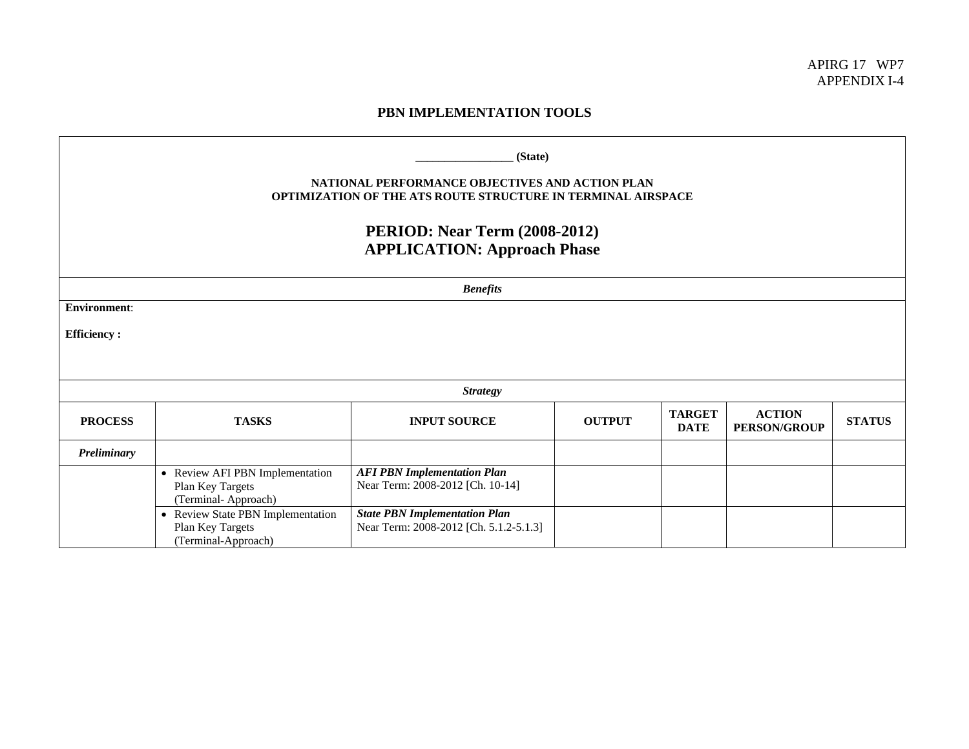## **PBN IMPLEMENTATION TOOLS**

| (State)<br>NATIONAL PERFORMANCE OBJECTIVES AND ACTION PLAN<br>OPTIMIZATION OF THE ATS ROUTE STRUCTURE IN TERMINAL AIRSPACE<br><b>PERIOD: Near Term (2008-2012)</b><br><b>APPLICATION: Approach Phase</b> |                                                                              |                                                                                |               |                              |                                      |               |  |
|----------------------------------------------------------------------------------------------------------------------------------------------------------------------------------------------------------|------------------------------------------------------------------------------|--------------------------------------------------------------------------------|---------------|------------------------------|--------------------------------------|---------------|--|
| <b>Benefits</b>                                                                                                                                                                                          |                                                                              |                                                                                |               |                              |                                      |               |  |
| <b>Environment:</b>                                                                                                                                                                                      |                                                                              |                                                                                |               |                              |                                      |               |  |
| <b>Efficiency:</b>                                                                                                                                                                                       |                                                                              |                                                                                |               |                              |                                      |               |  |
|                                                                                                                                                                                                          |                                                                              |                                                                                |               |                              |                                      |               |  |
| <b>Strategy</b>                                                                                                                                                                                          |                                                                              |                                                                                |               |                              |                                      |               |  |
| <b>PROCESS</b>                                                                                                                                                                                           | <b>TASKS</b>                                                                 | <b>INPUT SOURCE</b>                                                            | <b>OUTPUT</b> | <b>TARGET</b><br><b>DATE</b> | <b>ACTION</b><br><b>PERSON/GROUP</b> | <b>STATUS</b> |  |
| Preliminary                                                                                                                                                                                              |                                                                              |                                                                                |               |                              |                                      |               |  |
|                                                                                                                                                                                                          | • Review AFI PBN Implementation<br>Plan Key Targets<br>(Terminal-Approach)   | <b>AFI PBN Implementation Plan</b><br>Near Term: 2008-2012 [Ch. 10-14]         |               |                              |                                      |               |  |
|                                                                                                                                                                                                          | • Review State PBN Implementation<br>Plan Key Targets<br>(Terminal-Approach) | <b>State PBN Implementation Plan</b><br>Near Term: 2008-2012 [Ch. 5.1.2-5.1.3] |               |                              |                                      |               |  |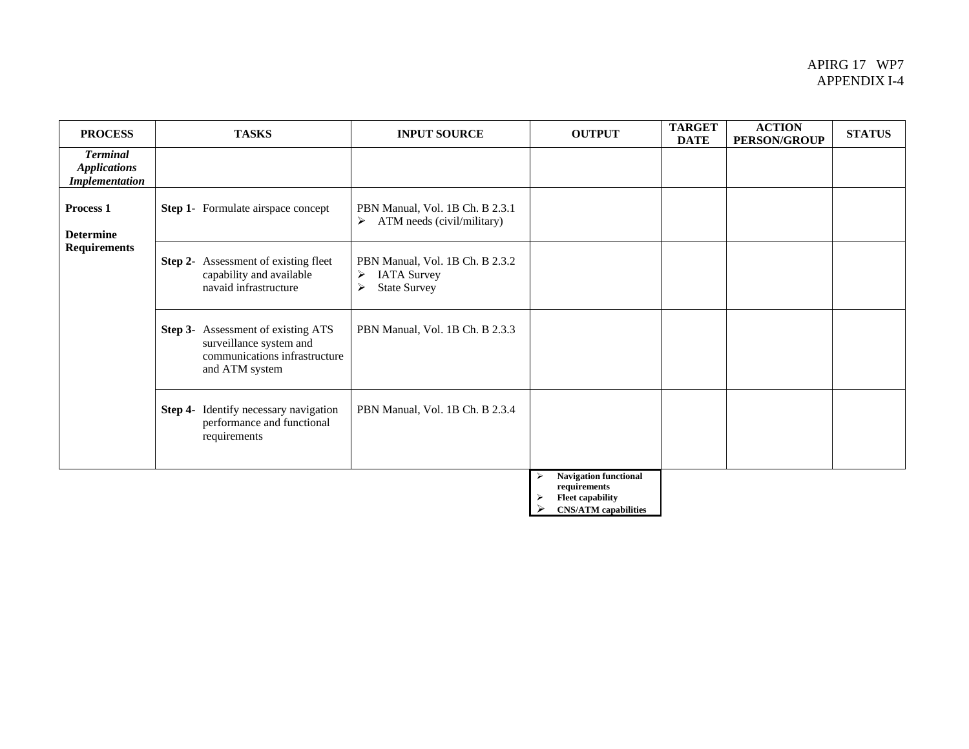## APIRG 17 WP7 APPENDIX I-4

| <b>PROCESS</b>                                                  | <b>TASKS</b>                                                                                                            | <b>INPUT SOURCE</b>                                                                                        | <b>OUTPUT</b>                                                                     | <b>TARGET</b><br><b>DATE</b> | <b>ACTION</b><br><b>PERSON/GROUP</b> | <b>STATUS</b> |
|-----------------------------------------------------------------|-------------------------------------------------------------------------------------------------------------------------|------------------------------------------------------------------------------------------------------------|-----------------------------------------------------------------------------------|------------------------------|--------------------------------------|---------------|
| <b>Terminal</b><br><b>Applications</b><br><b>Implementation</b> |                                                                                                                         |                                                                                                            |                                                                                   |                              |                                      |               |
| Process <sub>1</sub><br><b>Determine</b><br><b>Requirements</b> | <b>Step 1-</b> Formulate airspace concept                                                                               | PBN Manual, Vol. 1B Ch. B 2.3.1<br>ATM needs (civil/military)<br>$\triangleright$                          |                                                                                   |                              |                                      |               |
|                                                                 | <b>Step 2-</b> Assessment of existing fleet<br>capability and available<br>navaid infrastructure                        | PBN Manual, Vol. 1B Ch. B 2.3.2<br><b>IATA Survey</b><br>≻<br>$\blacktriangleright$<br><b>State Survey</b> |                                                                                   |                              |                                      |               |
|                                                                 | <b>Step 3-</b> Assessment of existing ATS<br>surveillance system and<br>communications infrastructure<br>and ATM system | PBN Manual, Vol. 1B Ch. B 2.3.3                                                                            |                                                                                   |                              |                                      |               |
|                                                                 | Step 4- Identify necessary navigation<br>performance and functional<br>requirements                                     | PBN Manual, Vol. 1B Ch. B 2.3.4                                                                            |                                                                                   |                              |                                      |               |
|                                                                 |                                                                                                                         |                                                                                                            | <b>Navigation functional</b><br>⋗<br>requirements<br><b>Fleet capability</b><br>⋗ |                              |                                      |               |

¾ **CNS/ATM capabilities**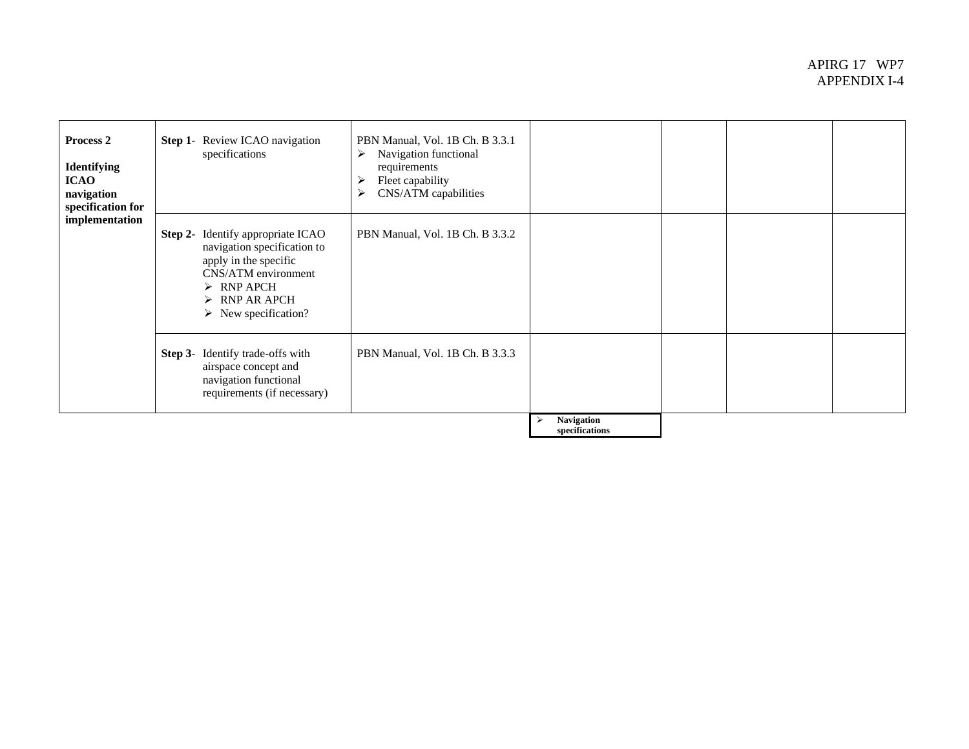## APIRG 17 WP7 APPENDIX I-4

| Process 2<br><b>Identifying</b><br><b>ICAO</b><br>navigation<br>specification for<br>implementation | <b>Step 1-</b> Review ICAO navigation<br>specifications                                                                                                                                                                     | PBN Manual, Vol. 1B Ch. B 3.3.1<br>Navigation functional<br>➤<br>requirements<br>Fleet capability<br>⋗<br>CNS/ATM capabilities<br>➤ |                              |  |  |
|-----------------------------------------------------------------------------------------------------|-----------------------------------------------------------------------------------------------------------------------------------------------------------------------------------------------------------------------------|-------------------------------------------------------------------------------------------------------------------------------------|------------------------------|--|--|
|                                                                                                     | <b>Step 2-</b> Identify appropriate ICAO<br>navigation specification to<br>apply in the specific<br>CNS/ATM environment<br>$\triangleright$ RNP APCH<br>$\triangleright$ RNP AR APCH<br>$\triangleright$ New specification? | PBN Manual, Vol. 1B Ch. B 3.3.2                                                                                                     |                              |  |  |
|                                                                                                     | <b>Step 3-</b> Identify trade-offs with<br>airspace concept and<br>navigation functional<br>requirements (if necessary)                                                                                                     | PBN Manual, Vol. 1B Ch. B 3.3.3                                                                                                     |                              |  |  |
|                                                                                                     |                                                                                                                                                                                                                             |                                                                                                                                     | Navigation<br>specifications |  |  |